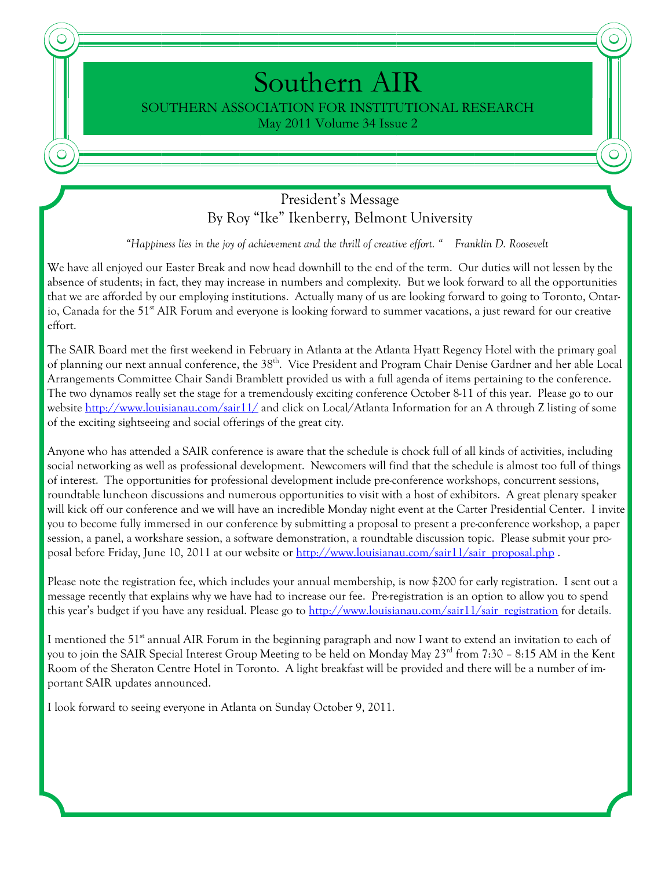# Southern AIR SOUTHERN ASSOCIATION FOR INSTITUTIONAL RESEARCH May 2011 Volume 34 Issue 2

#### President's Message By Roy "Ike" Ikenberry, Belmont University

*"Happiness lies in the joy of achievement and the thrill of creative effort. " Franklin D. Roosevelt* 

We have all enjoyed our Easter Break and now head downhill to the end of the term. Our duties will not lessen by the absence of students; in fact, they may increase in numbers and complexity. But we look forward to all the opportunities that we are afforded by our employing institutions. Actually many of us are looking forward to going to Toronto, Ontario, Canada for the 51<sup>st</sup> AIR Forum and everyone is looking forward to summer vacations, a just reward for our creative effort.

The SAIR Board met the first weekend in February in Atlanta at the Atlanta Hyatt Regency Hotel with the primary goal of planning our next annual conference, the 38<sup>th</sup>. Vice President and Program Chair Denise Gardner and her able Local Arrangements Committee Chair Sandi Bramblett provided us with a full agenda of items pertaining to the conference. The two dynamos really set the stage for a tremendously exciting conference October 8-11 of this year. Please go to our website http://www.louisianau.com/sair11/ and click on Local/Atlanta Information for an A through Z listing of some of the exciting sightseeing and social offerings of the great city.

Anyone who has attended a SAIR conference is aware that the schedule is chock full of all kinds of activities, including social networking as well as professional development. Newcomers will find that the schedule is almost too full of things of interest. The opportunities for professional development include pre-conference workshops, concurrent sessions, roundtable luncheon discussions and numerous opportunities to visit with a host of exhibitors. A great plenary speaker will kick off our conference and we will have an incredible Monday night event at the Carter Presidential Center. I invite you to become fully immersed in our conference by submitting a proposal to present a pre-conference workshop, a paper session, a panel, a workshare session, a software demonstration, a roundtable discussion topic. Please submit your proposal before Friday, June 10, 2011 at our website or http://www.louisianau.com/sair11/sair\_proposal.php.

Please note the registration fee, which includes your annual membership, is now \$200 for early registration. I sent out a message recently that explains why we have had to increase our fee. Pre-registration is an option to allow you to spend this year's budget if you have any residual. Please go to  $\frac{\text{http://www.low.low.sianau.com/sair11/sair}\text{ registration}}{\text{registration}}$  for details.

I mentioned the  $51^{\text{st}}$  annual AIR Forum in the beginning paragraph and now I want to extend an invitation to each of you to join the SAIR Special Interest Group Meeting to be held on Monday May 23<sup>rd</sup> from 7:30 – 8:15 AM in the Kent Room of the Sheraton Centre Hotel in Toronto. A light breakfast will be provided and there will be a number of important SAIR updates announced.

I look forward to seeing everyone in Atlanta on Sunday October 9, 2011.

C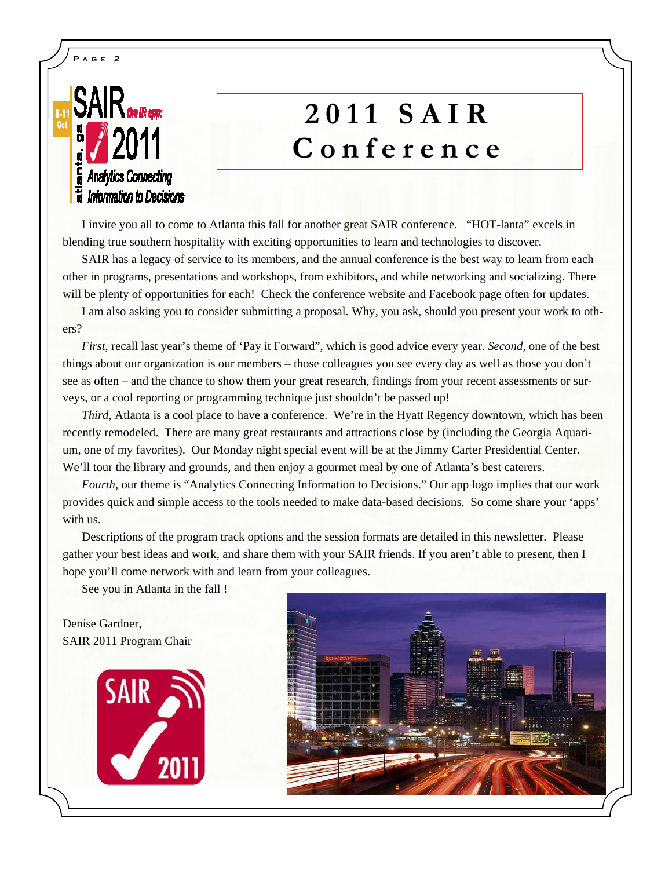# **SAIR Analytics Connecting ii** Information to Decisions

**Page 2** 

# **2011 SAIR Conference**

 I invite you all to come to Atlanta this fall for another great SAIR conference. "HOT-lanta" excels in blending true southern hospitality with exciting opportunities to learn and technologies to discover.

 SAIR has a legacy of service to its members, and the annual conference is the best way to learn from each other in programs, presentations and workshops, from exhibitors, and while networking and socializing. There will be plenty of opportunities for each! Check the conference website and Facebook page often for updates.

 I am also asking you to consider submitting a proposal. Why, you ask, should you present your work to others?

 *First*, recall last year's theme of 'Pay it Forward", which is good advice every year. *Second*, one of the best things about our organization is our members – those colleagues you see every day as well as those you don't see as often – and the chance to show them your great research, findings from your recent assessments or surveys, or a cool reporting or programming technique just shouldn't be passed up!

 *Third*, Atlanta is a cool place to have a conference. We're in the Hyatt Regency downtown, which has been recently remodeled. There are many great restaurants and attractions close by (including the Georgia Aquarium, one of my favorites). Our Monday night special event will be at the Jimmy Carter Presidential Center. We'll tour the library and grounds, and then enjoy a gourmet meal by one of Atlanta's best caterers.

*Fourth*, our theme is "Analytics Connecting Information to Decisions." Our app logo implies that our work provides quick and simple access to the tools needed to make data-based decisions. So come share your 'apps' with us.

 Descriptions of the program track options and the session formats are detailed in this newsletter. Please gather your best ideas and work, and share them with your SAIR friends. If you aren't able to present, then I hope you'll come network with and learn from your colleagues.

See you in Atlanta in the fall !

Denise Gardner, SAIR 2011 Program Chair



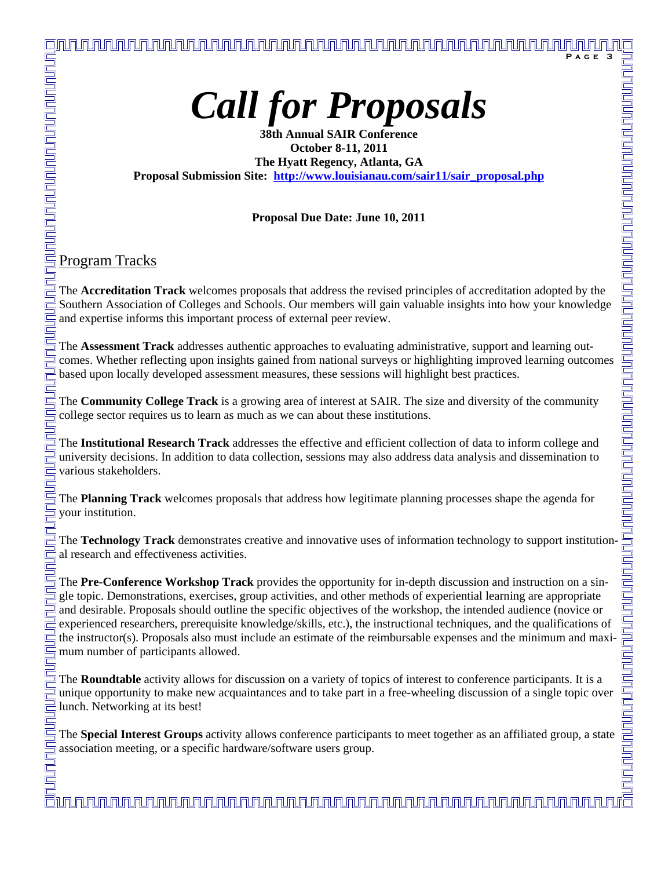**Page 3** 

**38th Annual SAIR Conference October 8-11, 2011 The Hyatt Regency, Atlanta, GA Proposal Submission Site: http://www.louisianau.com/sair11/sair\_proposal.php**

#### **Proposal Due Date: June 10, 2011**

Program Tracks

<u>nununununununununununu</u>

Ī

Ī

The **Accreditation Track** welcomes proposals that address the revised principles of accreditation adopted by the Southern Association of Colleges and Schools. Our members will gain valuable insights into how your knowledge and expertise informs this important process of external peer review.

The **Assessment Track** addresses authentic approaches to evaluating administrative, support and learning outcomes. Whether reflecting upon insights gained from national surveys or highlighting improved learning outcomes based upon locally developed assessment measures, these sessions will highlight best practices.

The **Community College Track** is a growing area of interest at SAIR. The size and diversity of the community college sector requires us to learn as much as we can about these institutions.

The **Institutional Research Track** addresses the effective and efficient collection of data to inform college and university decisions. In addition to data collection, sessions may also address data analysis and dissemination to various stakeholders.

The **Planning Track** welcomes proposals that address how legitimate planning processes shape the agenda for your institution.

The **Technology Track** demonstrates creative and innovative uses of information technology to support institutional research and effectiveness activities.

The **Pre-Conference Workshop Track** provides the opportunity for in-depth discussion and instruction on a single topic. Demonstrations, exercises, group activities, and other methods of experiential learning are appropriate and desirable. Proposals should outline the specific objectives of the workshop, the intended audience (novice or experienced researchers, prerequisite knowledge/skills, etc.), the instructional techniques, and the qualifications of the instructor(s). Proposals also must include an estimate of the reimbursable expenses and the minimum and maximum number of participants allowed.

The **Roundtable** activity allows for discussion on a variety of topics of interest to conference participants. It is a unique opportunity to make new acquaintances and to take part in a free-wheeling discussion of a single topic over lunch. Networking at its best!

The **Special Interest Groups** activity allows conference participants to meet together as an affiliated group, a state s association meeting, or a specific hardware/software users group.

<u>UNUN TUNIN TUNIN TUNIN YANA AMA AMA HAMA TA SHI YA TU AMA MA TU AMA TU AMA TU AMA TU AMA TU AMA TU AMA TU AMA </u>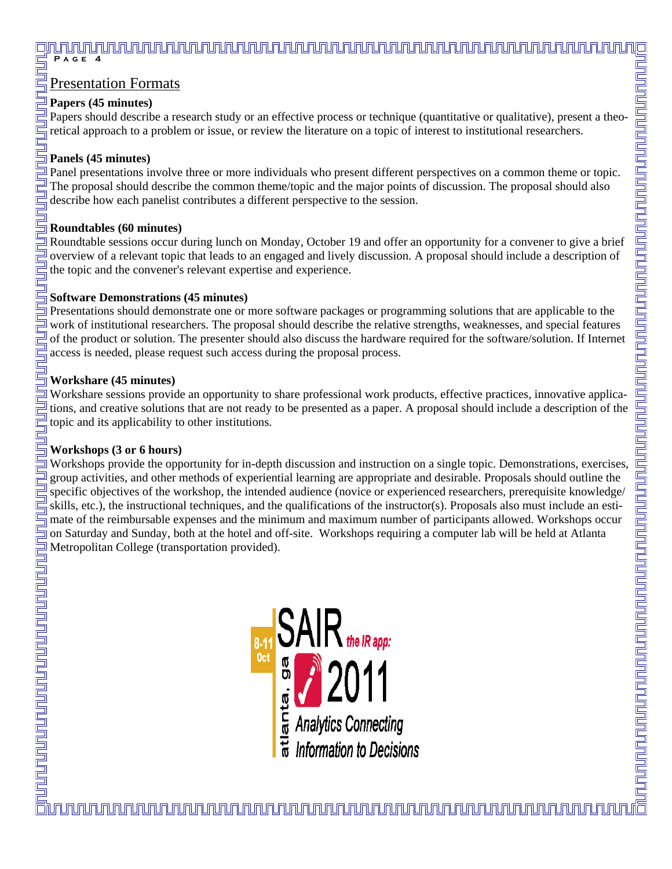#### <u>յր դարկարկան բացանությունների բացանություններ է անհրաժան կարևությունների համար առանձնացի համար առանձնացի անհր</u> PAGE

#### Presentation Formats

#### **Papers (45 minutes)**

Papers should describe a research study or an effective process or technique (quantitative or qualitative), present a theoretical approach to a problem or issue, or review the literature on a topic of interest to institutional researchers.

#### **Panels (45 minutes)**

Panel presentations involve three or more individuals who present different perspectives on a common theme or topic. The proposal should describe the common theme/topic and the major points of discussion. The proposal should also describe how each panelist contributes a different perspective to the session.

#### **Roundtables (60 minutes)**

Roundtable sessions occur during lunch on Monday, October 19 and offer an opportunity for a convener to give a brief overview of a relevant topic that leads to an engaged and lively discussion. A proposal should include a description of the topic and the convener's relevant expertise and experience.

#### **Software Demonstrations (45 minutes)**

Presentations should demonstrate one or more software packages or programming solutions that are applicable to the  $\exists$  work of institutional researchers. The proposal should describe the relative strengths, weaknesses, and special features of the product or solution. The presenter should also discuss the hardware required for the software/solution. If Internet access is needed, please request such access during the proposal process.

#### **Workshare (45 minutes)**

Workshare sessions provide an opportunity to share professional work products, effective practices, innovative applications, and creative solutions that are not ready to be presented as a paper. A proposal should include a description of the topic and its applicability to other institutions.

#### **Workshops (3 or 6 hours)**

Workshops provide the opportunity for in-depth discussion and instruction on a single topic. Demonstrations, exercises, group activities, and other methods of experiential learning are appropriate and desirable. Proposals should outline the specific objectives of the workshop, the intended audience (novice or experienced researchers, prerequisite knowledge/ skills, etc.), the instructional techniques, and the qualifications of the instructor(s). Proposals also must include an estimate of the reimbursable expenses and the minimum and maximum number of participants allowed. Workshops occur on Saturday and Sunday, both at the hotel and off-site. Workshops requiring a computer lab will be held at Atlanta Metropolitan College (transportation provided).

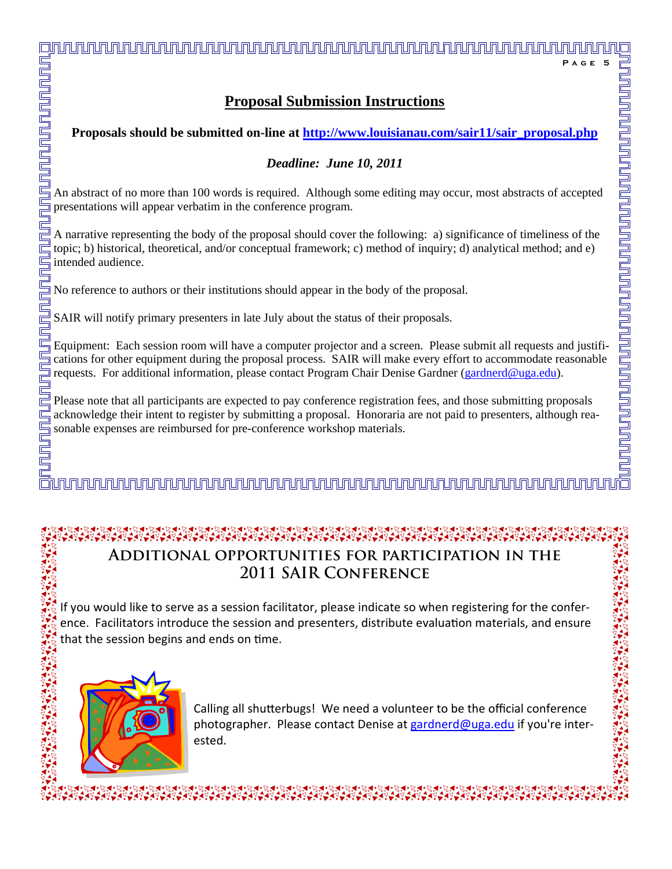# **Proposals should be submitted on-line at http://www.louisianau.com/sair11/sair\_proposal.php**  *Deadline: June 10, 2011*   $\Xi$  An abstract of no more than 100 words is required. Although some editing may occur, most abstracts of accepted presentations will appear verbatim in the conference program.  $\exists$  A narrative representing the body of the proposal should cover the following: a) significance of timeliness of the topic; b) historical, theoretical, and/or conceptual framework; c) method of inquiry; d) analytical method; and e) No reference to authors or their institutions should appear in the body of the proposal.  $\frac{1}{2}$  SAIR will notify primary presenters in late July about the status of their proposals.

 $\frac{1}{2}$  Equipment: Each session room will have a computer projector and a screen. Please submit all requests and justifi-I cations for other equipment during the proposal process. SAIR will make every effort to accommodate reasonable I requests. For additional information, please contact Program Chair Denise Gardner (gardnerd@uga.edu).

 $\frac{1}{n}$  Please note that all participants are expected to pay conference registration fees, and those submitting proposals  $\equiv$  acknowledge their intent to register by submitting a proposal. Honoraria are not paid to presenters, although rea- $\overline{\overline{\mathbb{S}}}$  sonable expenses are reimbursed for pre-conference workshop materials.

# unun kabar kabar bahar bahar dan mahar dan masar dan masar dan masar dan masar dan masar dan sama dan sama dan

# **Additional opportunities for participation in the 2011 SAIR Conference**

If you would like to serve as a session facilitator, please indicate so when registering for the confer‐ ence. Facilitators introduce the session and presenters, distribute evaluation materials, and ensure that the session begins and ends on time.



Calling all shutterbugs! We need a volunteer to be the official conference photographer. Please contact Denise at gardnerd@uga.edu if you're interested.

 $\exists$ 

#### **Proposal Submission Instructions**

<u>in mununun t</u>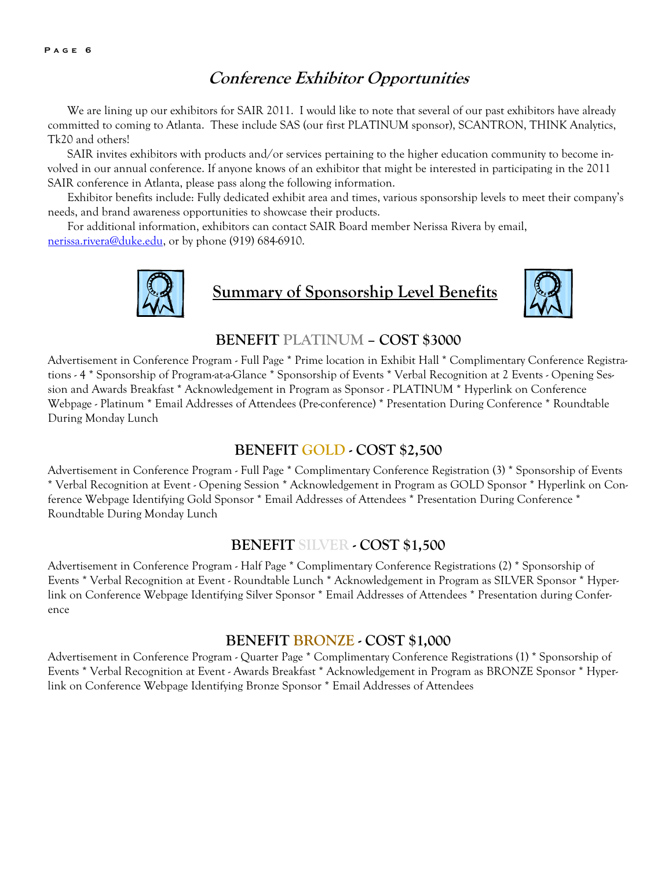#### **Conference Exhibitor Opportunities**

We are lining up our exhibitors for SAIR 2011. I would like to note that several of our past exhibitors have already committed to coming to Atlanta. These include SAS (our first PLATINUM sponsor), SCANTRON, THINK Analytics, Tk20 and others!

 SAIR invites exhibitors with products and/or services pertaining to the higher education community to become involved in our annual conference. If anyone knows of an exhibitor that might be interested in participating in the 2011 SAIR conference in Atlanta, please pass along the following information.

 Exhibitor benefits include: Fully dedicated exhibit area and times, various sponsorship levels to meet their company's needs, and brand awareness opportunities to showcase their products.

 For additional information, exhibitors can contact SAIR Board member Nerissa Rivera by email, nerissa.rivera@duke.edu, or by phone (919) 684-6910.



## **Summary of Sponsorship Level Benefits**



#### **BENEFIT PLATINUM – COST \$3000**

Advertisement in Conference Program - Full Page \* Prime location in Exhibit Hall \* Complimentary Conference Registrations - 4 \* Sponsorship of Program-at-a-Glance \* Sponsorship of Events \* Verbal Recognition at 2 Events - Opening Session and Awards Breakfast \* Acknowledgement in Program as Sponsor - PLATINUM \* Hyperlink on Conference Webpage - Platinum \* Email Addresses of Attendees (Pre-conference) \* Presentation During Conference \* Roundtable During Monday Lunch

#### **BENEFIT GOLD - COST \$2,500**

Advertisement in Conference Program - Full Page \* Complimentary Conference Registration (3) \* Sponsorship of Events \* Verbal Recognition at Event - Opening Session \* Acknowledgement in Program as GOLD Sponsor \* Hyperlink on Conference Webpage Identifying Gold Sponsor \* Email Addresses of Attendees \* Presentation During Conference \* Roundtable During Monday Lunch

#### **BENEFIT SILVER - COST \$1,500**

Advertisement in Conference Program - Half Page \* Complimentary Conference Registrations (2) \* Sponsorship of Events \* Verbal Recognition at Event - Roundtable Lunch \* Acknowledgement in Program as SILVER Sponsor \* Hyperlink on Conference Webpage Identifying Silver Sponsor \* Email Addresses of Attendees \* Presentation during Conference

#### **BENEFIT BRONZE - COST \$1,000**

Advertisement in Conference Program - Quarter Page \* Complimentary Conference Registrations (1) \* Sponsorship of Events \* Verbal Recognition at Event - Awards Breakfast \* Acknowledgement in Program as BRONZE Sponsor \* Hyperlink on Conference Webpage Identifying Bronze Sponsor \* Email Addresses of Attendees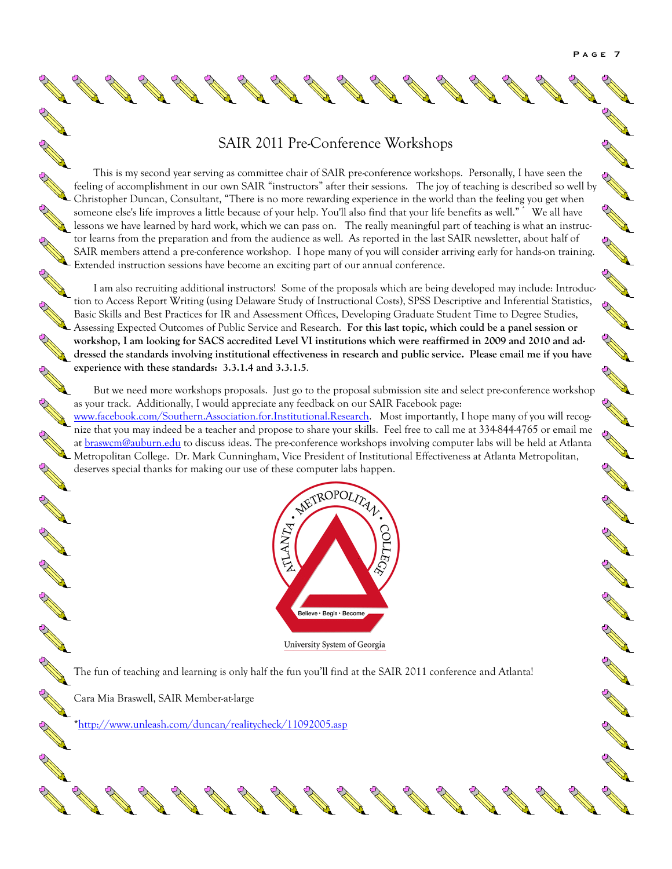A Maria

A March 19

A Britain

Article 1

A Maria

A Maria

A RIVER

A REAL

A A REA

Chance of the

A A R

#### SAIR 2011 Pre-Conference Workshops

This is my second year serving as committee chair of SAIR pre-conference workshops. Personally, I have seen the This is my second year serving as committee chair or SAIR pre-connective weaking. The serving is described so well by<br>feeling of accomplishment in our own SAIR "instructors" after their sessions. The joy of teaching is des Christopher Duncan, Consultant, "There is no more rewarding experience in the world than the feeling you get when someone else's life improves a little because of your help. You'll also find that your life benefits as well." \* We all have lessons we have learned by hard work, which we can pass on. The really meaningful part of teaching is what an instructor learns from the preparation and from the audience as well. As reported in the last SAIR newsletter, about half of SAIR members attend a pre-conference workshop. I hope many of you will consider arriving early for hands-on training. Extended instruction sessions have become an exciting part of our annual conference.

 I am also recruiting additional instructors! Some of the proposals which are being developed may include: Introduction to Access Report Writing (using Delaware Study of Instructional Costs), SPSS Descriptive and Inferential Statistics, Basic Skills and Best Practices for IR and Assessment Offices, Developing Graduate Student Time to Degree Studies, Assessing Expected Outcomes of Public Service and Research. **For this last topic, which could be a panel session or workshop, I am looking for SACS accredited Level VI institutions which were reaffirmed in 2009 and 2010 and addressed the standards involving institutional effectiveness in research and public service. Please email me if you have experience with these standards: 3.3.1.4 and 3.3.1.5**.

 But we need more workshops proposals. Just go to the proposal submission site and select pre-conference workshop as your track. Additionally, I would appreciate any feedback on our SAIR Facebook page: www.facebook.com/Southern.Association.for.Institutional.Research. Most importantly, I hope many of you will recognize that you may indeed be a teacher and propose to share your skills. Feel free to call me at 334-844-4765 or email me at braswcm@auburn.edu to discuss ideas. The pre-conference workshops involving computer labs will be held at Atlanta Metropolitan College. Dr. Mark Cunningham, Vice President of Institutional Effectiveness at Atlanta Metropolitan, deserves special thanks for making our use of these computer labs happen.



The fun of teaching and learning is only half the fun you'll find at the SAIR 2011 conference and Atlanta!

Cara Mia Braswell, SAIR Member-at-large

A Maria

R

**Contract of the Contract of the Contract of The Contract of The Contract of The Contract of The Contract of The Contract of The Contract of The Contract of The Contract of The Contract of The Contract of The Contract of T** 

**RAND** 

R

R

R

**Contract of the Contract of the Contract of The Contract of The Contract of The Contract of The Contract of The Contract of The Contract of The Contract of The Contract of The Contract of The Contract of The Contract of T** 

**RANTING CONTROLLER** 

A Maria

**Contract Contract Contract Contract Contract Contract Contract Contract Contract Contract Contract Contract Contract Contract Contract Contract Contract Contract Contract Contract Contract Contract Contract Contract Contr** 

\*http://www.unleash.com/duncan/realitycheck/11092005.asp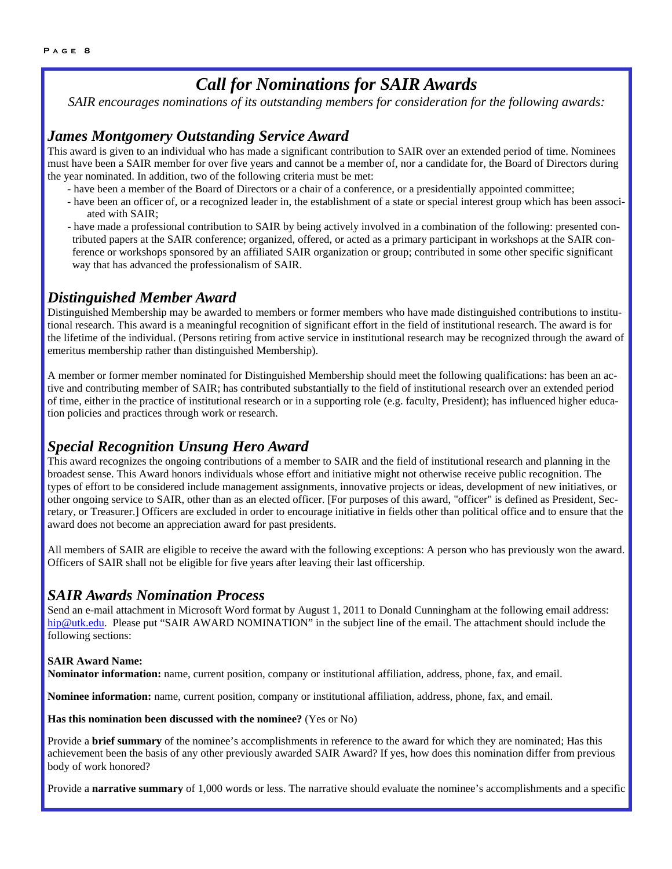#### *Call for Nominations for SAIR Awards*

*SAIR encourages nominations of its outstanding members for consideration for the following awards:* 

#### *James Montgomery Outstanding Service Award*

This award is given to an individual who has made a significant contribution to SAIR over an extended period of time. Nominees must have been a SAIR member for over five years and cannot be a member of, nor a candidate for, the Board of Directors during the year nominated. In addition, two of the following criteria must be met:

- have been a member of the Board of Directors or a chair of a conference, or a presidentially appointed committee;
- have been an officer of, or a recognized leader in, the establishment of a state or special interest group which has been associated with SAIR;
- have made a professional contribution to SAIR by being actively involved in a combination of the following: presented contributed papers at the SAIR conference; organized, offered, or acted as a primary participant in workshops at the SAIR conference or workshops sponsored by an affiliated SAIR organization or group; contributed in some other specific significant way that has advanced the professionalism of SAIR.

#### *Distinguished Member Award*

Distinguished Membership may be awarded to members or former members who have made distinguished contributions to institutional research. This award is a meaningful recognition of significant effort in the field of institutional research. The award is for the lifetime of the individual. (Persons retiring from active service in institutional research may be recognized through the award of emeritus membership rather than distinguished Membership).

A member or former member nominated for Distinguished Membership should meet the following qualifications: has been an active and contributing member of SAIR; has contributed substantially to the field of institutional research over an extended period of time, either in the practice of institutional research or in a supporting role (e.g. faculty, President); has influenced higher education policies and practices through work or research.

#### *Special Recognition Unsung Hero Award*

This award recognizes the ongoing contributions of a member to SAIR and the field of institutional research and planning in the broadest sense. This Award honors individuals whose effort and initiative might not otherwise receive public recognition. The types of effort to be considered include management assignments, innovative projects or ideas, development of new initiatives, or other ongoing service to SAIR, other than as an elected officer. [For purposes of this award, "officer" is defined as President, Secretary, or Treasurer.] Officers are excluded in order to encourage initiative in fields other than political office and to ensure that the award does not become an appreciation award for past presidents.

All members of SAIR are eligible to receive the award with the following exceptions: A person who has previously won the award. Officers of SAIR shall not be eligible for five years after leaving their last officership.

#### *SAIR Awards Nomination Process*

Send an e-mail attachment in Microsoft Word format by August 1, 2011 to Donald Cunningham at the following email address: hip@utk.edu. Please put "SAIR AWARD NOMINATION" in the subject line of the email. The attachment should include the following sections:

#### **SAIR Award Name:**

**Nominator information:** name, current position, company or institutional affiliation, address, phone, fax, and email.

**Nominee information:** name, current position, company or institutional affiliation, address, phone, fax, and email.

**Has this nomination been discussed with the nominee?** (Yes or No)

Provide a **brief summary** of the nominee's accomplishments in reference to the award for which they are nominated; Has this achievement been the basis of any other previously awarded SAIR Award? If yes, how does this nomination differ from previous body of work honored?

Provide a **narrative summary** of 1,000 words or less. The narrative should evaluate the nominee's accomplishments and a specific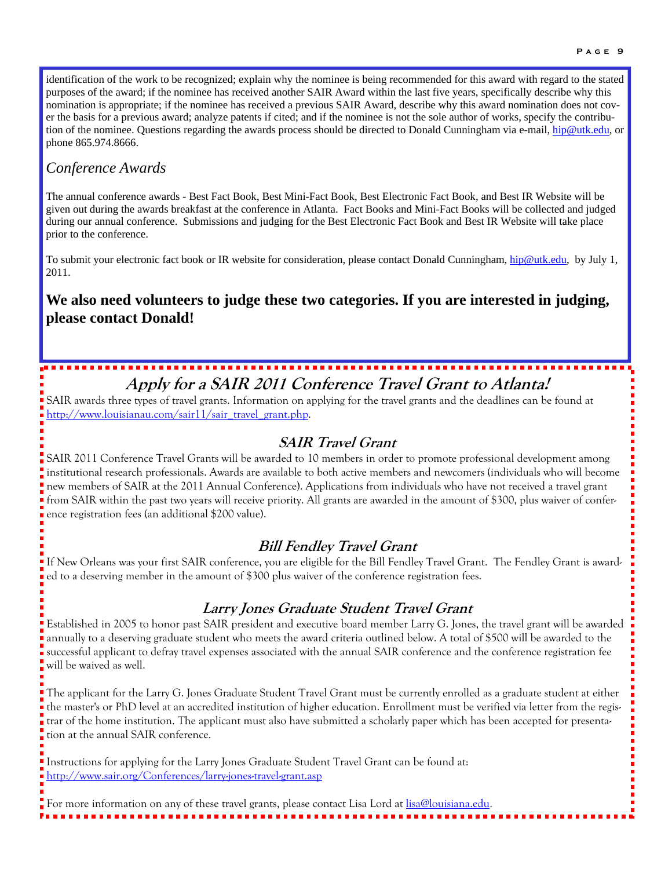identification of the work to be recognized; explain why the nominee is being recommended for this award with regard to the stated purposes of the award; if the nominee has received another SAIR Award within the last five years, specifically describe why this nomination is appropriate; if the nominee has received a previous SAIR Award, describe why this award nomination does not cover the basis for a previous award; analyze patents if cited; and if the nominee is not the sole author of works, specify the contribution of the nominee. Questions regarding the awards process should be directed to Donald Cunningham via e-mail, hip@utk.edu, or phone 865.974.8666.

#### *Conference Awards*

The annual conference awards - Best Fact Book, Best Mini-Fact Book, Best Electronic Fact Book, and Best IR Website will be given out during the awards breakfast at the conference in Atlanta. Fact Books and Mini-Fact Books will be collected and judged during our annual conference. Submissions and judging for the Best Electronic Fact Book and Best IR Website will take place prior to the conference.

To submit your electronic fact book or IR website for consideration, please contact Donald Cunningham, hip@utk.edu, by July 1, 2011.

#### **We also need volunteers to judge these two categories. If you are interested in judging, please contact Donald!**

## **Apply for a SAIR 2011 Conference Travel Grant to Atlanta!**

SAIR awards three types of travel grants. Information on applying for the travel grants and the deadlines can be found at http://www.louisianau.com/sair11/sair\_travel\_grant.php.

#### **SAIR Travel Grant**

SAIR 2011 Conference Travel Grants will be awarded to 10 members in order to promote professional development among institutional research professionals. Awards are available to both active members and newcomers (individuals who will become new members of SAIR at the 2011 Annual Conference). Applications from individuals who have not received a travel grant **from SAIR within the past two years will receive priority. All grants are awarded in the amount of \$300, plus waiver of confer**ence registration fees (an additional \$200 value).

#### **Bill Fendley Travel Grant**

If New Orleans was your first SAIR conference, you are eligible for the Bill Fendley Travel Grant. The Fendley Grant is awarded to a deserving member in the amount of \$300 plus waiver of the conference registration fees.

#### **Larry Jones Graduate Student Travel Grant**

Established in 2005 to honor past SAIR president and executive board member Larry G. Jones, the travel grant will be awarded annually to a deserving graduate student who meets the award criteria outlined below. A total of \$500 will be awarded to the successful applicant to defray travel expenses associated with the annual SAIR conference and the conference registration fee will be waived as well.

The applicant for the Larry G. Jones Graduate Student Travel Grant must be currently enrolled as a graduate student at either the master's or PhD level at an accredited institution of higher education. Enrollment must be verified via letter from the registrar of the home institution. The applicant must also have submitted a scholarly paper which has been accepted for presentation at the annual SAIR conference.

Instructions for applying for the Larry Jones Graduate Student Travel Grant can be found at: http://www.sair.org/Conferences/larry-jones-travel-grant.asp

For more information on any of these travel grants, please contact Lisa Lord at lisa@louisiana.edu.

Ē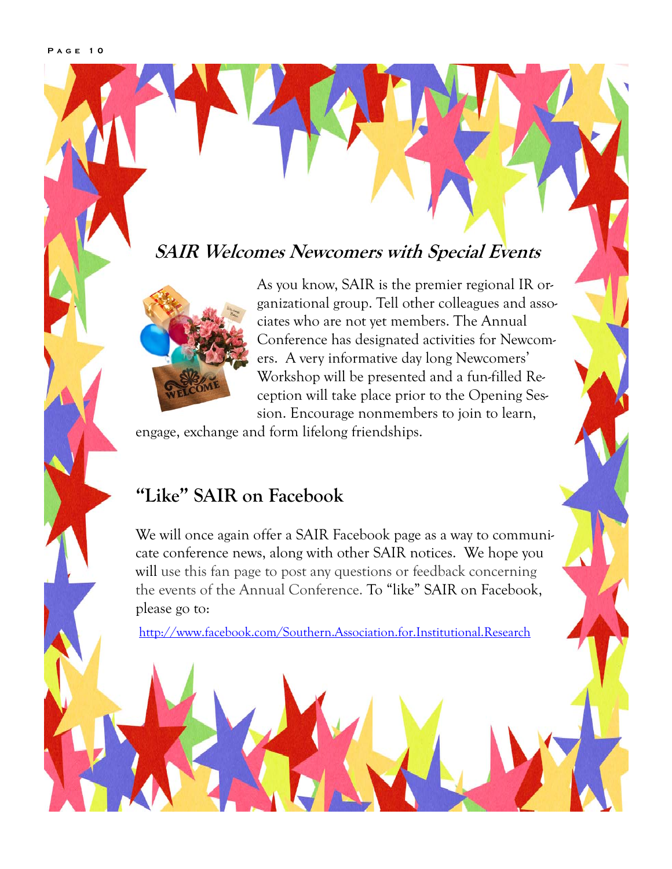## **SAIR Welcomes Newcomers with Special Events**



As you know, SAIR is the premier regional IR organizational group. Tell other colleagues and associates who are not yet members. The Annual Conference has designated activities for Newcomers. A very informative day long Newcomers' Workshop will be presented and a fun-filled Reception will take place prior to the Opening Session. Encourage nonmembers to join to learn,

engage, exchange and form lifelong friendships.

## **"Like" SAIR on Facebook**

We will once again offer a SAIR Facebook page as a way to communicate conference news, along with other SAIR notices. We hope you will use this fan page to post any questions or feedback concerning the events of the Annual Conference. To "like" SAIR on Facebook, please go to:

http://www.facebook.com/Southern.Association.for.Institutional.Research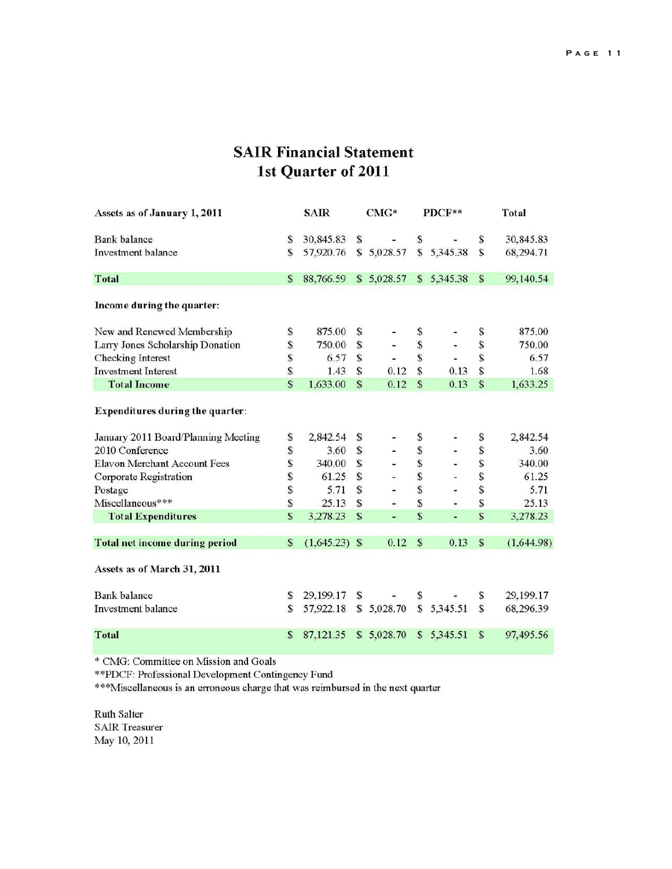#### **SAIR Financial Statement** 1st Quarter of 2011

| Assets as of January 1, 2011          | <b>SAIR</b> |                 | $CMG*$       |                          | PDCF**                  |            | Total        |            |
|---------------------------------------|-------------|-----------------|--------------|--------------------------|-------------------------|------------|--------------|------------|
| <b>Bank</b> balance                   | S           | 30,845.83       | S            |                          | \$                      |            | S            | 30,845.83  |
| <b>Investment</b> balance             | S           | 57,920.76       | $\mathbf{s}$ | 5,028.57                 | $\mathbf{s}$            | 5,345.38   | S            | 68,294.71  |
| <b>Total</b>                          | S           | 88,766.59       |              | \$5,028.57               |                         | \$5,345.38 | S            | 99,140.54  |
| Income during the quarter:            |             |                 |              |                          |                         |            |              |            |
| New and Renewed Membership            | \$          | 875.00          | S            |                          | \$                      |            | S            | 875.00     |
| Larry Jones Scholarship Donation      | \$          | 750.00          | S            |                          | \$                      |            | S            | 750.00     |
| Checking Interest                     | \$          | 6.57            | S            |                          | S                       |            | S            | 6.57       |
| <b>Investment Interest</b>            | \$          | 1.43            | S            | 0.12                     | \$                      | 0.13       | S            | 1.68       |
| <b>Total Income</b>                   | S           | 1,633.00        | S            | 0.12                     | S                       | 0.13       | S            | 1,633.25   |
| Expenditures during the quarter:      |             |                 |              |                          |                         |            |              |            |
| January 2011 Board/Planning Meeting   | S           | 2,842.54        | S            |                          | \$                      |            | S            | 2,842.54   |
| 2010 Conference                       | \$          | 3.60            | S            |                          | \$                      |            | \$           | 3.60       |
| <b>Elavon Merchant Account Fees</b>   | \$          | 340.00          | S            |                          | \$                      |            | S            | 340.00     |
| Corporate Registration                | \$          | 61.25           | S            |                          | \$                      |            | $\mathbf S$  | 61.25      |
| Postage                               | \$          | 5.71            | S            |                          | \$                      | Ξ          | S            | 5.71       |
| Miscellaneous***                      | \$          | 25.13           | S            | $\overline{\phantom{a}}$ | \$                      | u,         | S            | 25.13      |
| <b>Total Expenditures</b>             | S           | 3,278.23        | S            | ٠                        | $\overline{\mathbb{S}}$ | ÷,         | S            | 3,278.23   |
| <b>Total net income during period</b> | S           | $(1,645.23)$ \$ |              | 0.12                     | S                       | 0.13       | S            | (1,644.98) |
| Assets as of March 31, 2011           |             |                 |              |                          |                         |            |              |            |
| <b>Bank</b> balance                   | S           | 29,199.17       | S            |                          | \$                      |            | S            | 29,199.17  |
| Investment balance                    | S           | 57,922.18       |              | \$5,028.70               | S                       | 5,345.51   | S            | 68,296.39  |
| <b>Total</b>                          | S           | 87,121.35       | S            | 5,028.70                 | S                       | 5,345.51   | <sub>S</sub> | 97,495.56  |

\* CMG: Committee on Mission and Goals

\*\*PDCF: Professional Development Contingency Fund

\*\*\*Miscellaneous is an erroneous charge that was reimbursed in the next quarter

Ruth Salter **SAIR Treasurer** May 10, 2011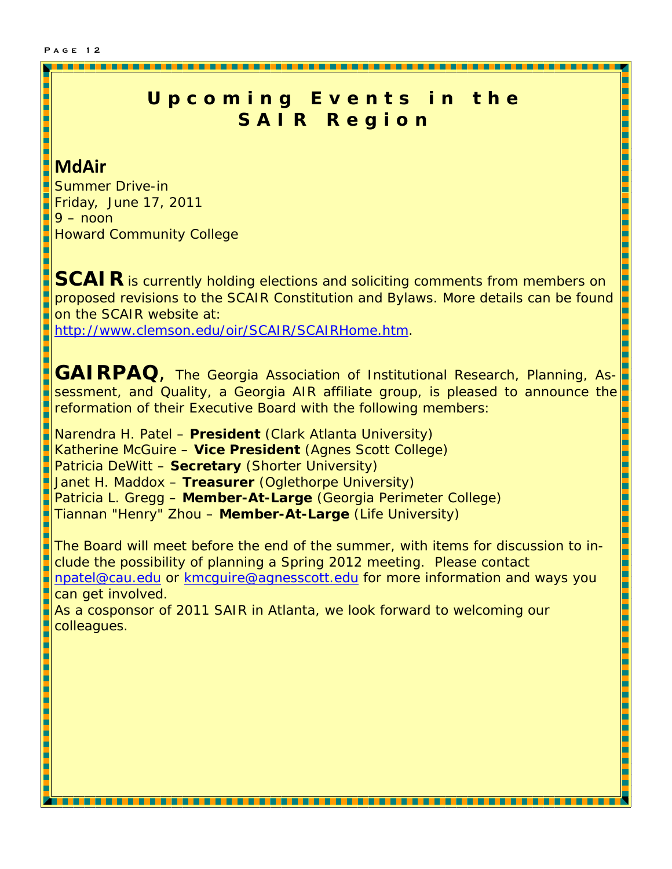### **Upcoming Events in the SAIR Region**

#### **MdAir**

Summer Drive-in Friday, June 17, 2011  $9 -$  noon Howard Community College

**SCAIR** is currently holding elections and soliciting comments from members on proposed revisions to the SCAIR Constitution and Bylaws. More details can be found on the SCAIR website at:

L Ŀ Н

**The Second Second** 

L

http://www.clemson.edu/oir/SCAIR/SCAIRHome.htm.

**GAIRPAQ**, The Georgia Association of Institutional Research, Planning, As-Ŀ sessment, and Quality, a Georgia AIR affiliate group, is pleased to announce the reformation of their Executive Board with the following members:

Narendra H. Patel – **President** (Clark Atlanta University) Katherine McGuire – **Vice President** (Agnes Scott College) Patricia DeWitt – **Secretary** (Shorter University) Janet H. Maddox – **Treasurer** (Oglethorpe University) Patricia L. Gregg – **Member-At-Large** (Georgia Perimeter College) Tiannan "Henry" Zhou – **Member-At-Large** (Life University)

The Board will meet before the end of the summer, with items for discussion to include the possibility of planning a Spring 2012 meeting. Please contact npatel@cau.edu or kmcguire@agnesscott.edu for more information and ways you can get involved. As a cosponsor of 2011 SAIR in Atlanta, we look forward to welcoming our

\_\_\_\_\_\_\_\_\_\_

colleagues.